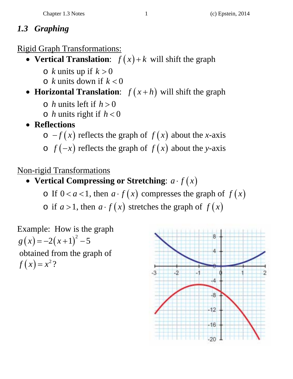## *1.3 Graphing*

Rigid Graph Transformations:

- Vertical Translation:  $f(x) + k$  will shift the graph
	- $\circ$  *k* units up if  $k > 0$
	- $\circ$  *k* units down if  $k < 0$
- **Horizontal Translation**:  $f(x+h)$  will shift the graph
	- $\circ$  *h* units left if  $h > 0$
	- $\circ$  *h* units right if  $h < 0$
- **Reflections** 
	- $\circ$  -*f* (*x*) reflects the graph of *f* (*x*) about the *x*-axis
	- $\circ$  *f*  $(-x)$  reflects the graph of *f*  $(x)$  about the *y*-axis

## Non-rigid Transformations

- Vertical Compressing or Stretching:  $a \cdot f(x)$ 
	- o If  $0 < a < 1$ , then  $a \cdot f(x)$  compresses the graph of  $f(x)$
	- $\circ$  if  $a > 1$ , then  $a \cdot f(x)$  stretches the graph of  $f(x)$

Example: How is the graph  $g(x) = -2(x+1)^2 - 5$  obtained from the graph of  $f(x) = x^2$ ?

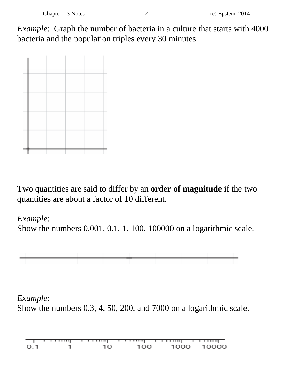*Example*: Graph the number of bacteria in a culture that starts with 4000 bacteria and the population triples every 30 minutes.



Two quantities are said to differ by an **order of magnitude** if the two quantities are about a factor of 10 different.

## *Example*:

Show the numbers 0.001, 0.1, 1, 100, 100000 on a logarithmic scale.



## *Example*:

Show the numbers 0.3, 4, 50, 200, and 7000 on a logarithmic scale.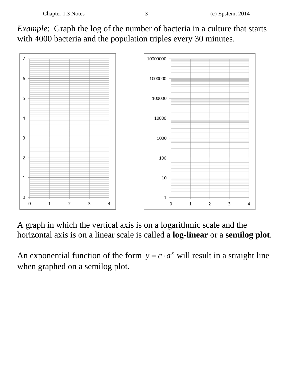



A graph in which the vertical axis is on a logarithmic scale and the horizontal axis is on a linear scale is called a **log-linear** or a **semilog plot**.

An exponential function of the form  $y = c \cdot a^x$  will result in a straight line when graphed on a semilog plot.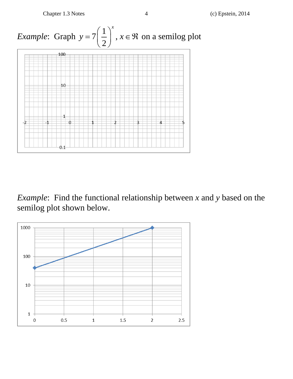Chapter 1.3 Notes 4 (c) Epstein, 2014



*Example*: Find the functional relationship between *x* and *y* based on the semilog plot shown below.

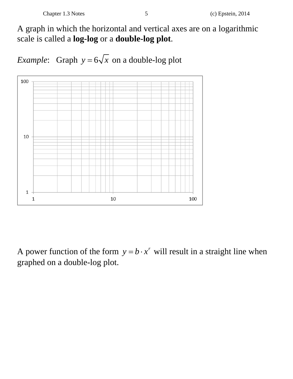A graph in which the horizontal and vertical axes are on a logarithmic scale is called a **log-log** or a **double-log plot**.

*Example*: Graph  $y = 6\sqrt{x}$  on a double-log plot



A power function of the form  $y = b \cdot x^r$  will result in a straight line when graphed on a double-log plot.